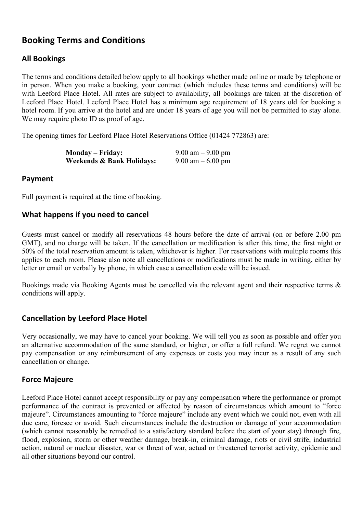# **Booking Terms and Conditions**

# **All Bookings**

The terms and conditions detailed below apply to all bookings whether made online or made by telephone or in person. When you make a booking, your contract (which includes these terms and conditions) will be with Leeford Place Hotel. All rates are subject to availability, all bookings are taken at the discretion of Leeford Place Hotel. Leeford Place Hotel has a minimum age requirement of 18 years old for booking a hotel room. If you arrive at the hotel and are under 18 years of age you will not be permitted to stay alone. We may require photo ID as proof of age.

The opening times for Leeford Place Hotel Reservations Office (01424 772863) are:

| <b>Monday – Friday:</b>   | $9.00 \text{ am} - 9.00 \text{ pm}$ |
|---------------------------|-------------------------------------|
| Weekends & Bank Holidays: | $9.00$ am $-6.00$ pm                |

## **Payment**

Full payment is required at the time of booking.

## **What happens if you need to cancel**

Guests must cancel or modify all reservations 48 hours before the date of arrival (on or before 2.00 pm GMT), and no charge will be taken. If the cancellation or modification is after this time, the first night or 50% of the total reservation amount is taken, whichever is higher. For reservations with multiple rooms this applies to each room. Please also note all cancellations or modifications must be made in writing, either by letter or email or verbally by phone, in which case a cancellation code will be issued.

Bookings made via Booking Agents must be cancelled via the relevant agent and their respective terms & conditions will apply.

# **Cancellation by Leeford Place Hotel**

Very occasionally, we may have to cancel your booking. We will tell you as soon as possible and offer you an alternative accommodation of the same standard, or higher, or offer a full refund. We regret we cannot pay compensation or any reimbursement of any expenses or costs you may incur as a result of any such cancellation or change.

# **Force Majeure**

Leeford Place Hotel cannot accept responsibility or pay any compensation where the performance or prompt performance of the contract is prevented or affected by reason of circumstances which amount to "force majeure". Circumstances amounting to "force majeure" include any event which we could not, even with all due care, foresee or avoid. Such circumstances include the destruction or damage of your accommodation (which cannot reasonably be remedied to a satisfactory standard before the start of your stay) through fire, flood, explosion, storm or other weather damage, break-in, criminal damage, riots or civil strife, industrial action, natural or nuclear disaster, war or threat of war, actual or threatened terrorist activity, epidemic and all other situations beyond our control.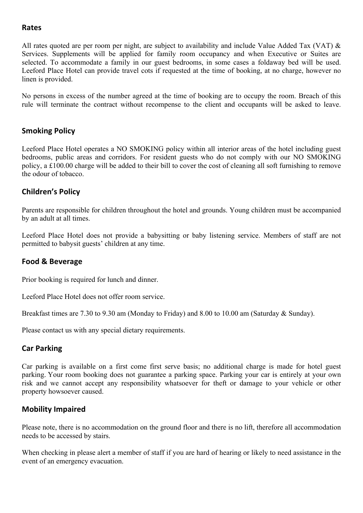#### **Rates**

All rates quoted are per room per night, are subject to availability and include Value Added Tax (VAT) & Services. Supplements will be applied for family room occupancy and when Executive or Suites are selected. To accommodate a family in our guest bedrooms, in some cases a foldaway bed will be used. Leeford Place Hotel can provide travel cots if requested at the time of booking, at no charge, however no linen is provided.

No persons in excess of the number agreed at the time of booking are to occupy the room. Breach of this rule will terminate the contract without recompense to the client and occupants will be asked to leave.

## **Smoking Policy**

Leeford Place Hotel operates a NO SMOKING policy within all interior areas of the hotel including guest bedrooms, public areas and corridors. For resident guests who do not comply with our NO SMOKING policy, a £100.00 charge will be added to their bill to cover the cost of cleaning all soft furnishing to remove the odour of tobacco.

## **Children's Policy**

Parents are responsible for children throughout the hotel and grounds. Young children must be accompanied by an adult at all times.

Leeford Place Hotel does not provide a babysitting or baby listening service. Members of staff are not permitted to babysit guests' children at any time.

#### **Food & Beverage**

Prior booking is required for lunch and dinner.

Leeford Place Hotel does not offer room service.

Breakfast times are 7.30 to 9.30 am (Monday to Friday) and 8.00 to 10.00 am (Saturday & Sunday).

Please contact us with any special dietary requirements.

#### **Car Parking**

Car parking is available on a first come first serve basis; no additional charge is made for hotel guest parking. Your room booking does not guarantee a parking space. Parking your car is entirely at your own risk and we cannot accept any responsibility whatsoever for theft or damage to your vehicle or other property howsoever caused.

#### **Mobility Impaired**

Please note, there is no accommodation on the ground floor and there is no lift, therefore all accommodation needs to be accessed by stairs.

When checking in please alert a member of staff if you are hard of hearing or likely to need assistance in the event of an emergency evacuation.